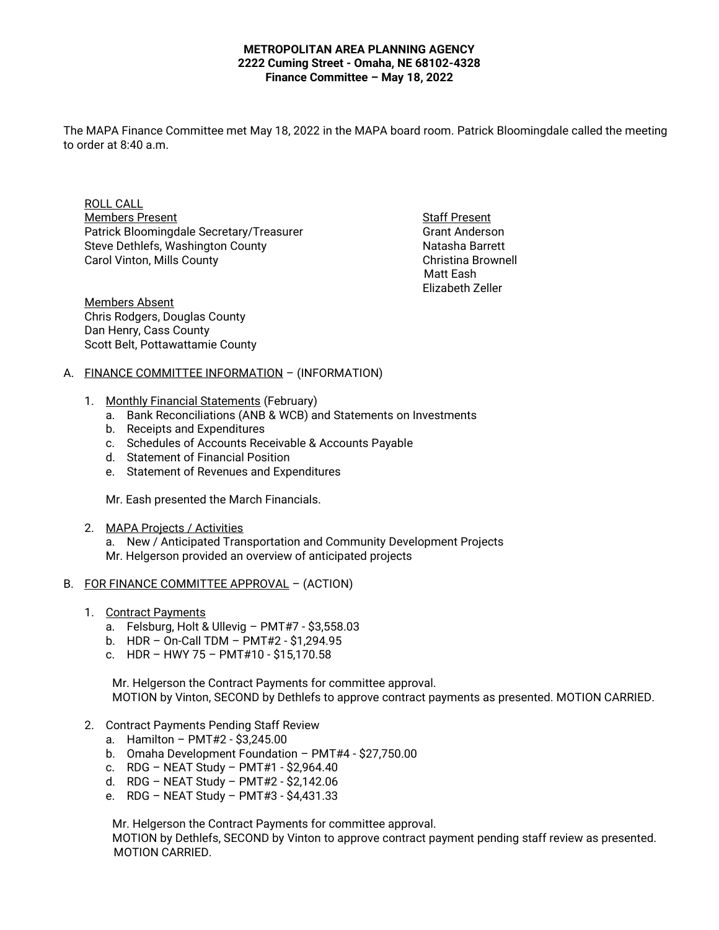#### **METROPOLITAN AREA PLANNING AGENCY 2222 Cuming Street - Omaha, NE 68102-4328 Finance Committee – May 18, 2022**

The MAPA Finance Committee met May 18, 2022 in the MAPA board room. Patrick Bloomingdale called the meeting to order at  $8:40$  a.m.

ROLL CALL Members Present **Staff Present** Staff Present Patrick Bloomingdale Secretary/Treasurer Grant Anderson Steve Dethlefs, Washington County Natasha Barrett Carol Vinton, Mills County Christina Brownell

 Matt Eash Elizabeth Zeller

Members Absent Chris Rodgers, Douglas County Dan Henry, Cass County Scott Belt, Pottawattamie County

# A. FINANCE COMMITTEE INFORMATION – (INFORMATION)

- 1. Monthly Financial Statements (February)
	- a. Bank Reconciliations (ANB & WCB) and Statements on Investments
	- b. Receipts and Expenditures
	- c. Schedules of Accounts Receivable & Accounts Payable
	- d. Statement of Financial Position
	- e. Statement of Revenues and Expenditures

Mr. Eash presented the March Financials.

2. MAPA Projects / Activities

a. New / Anticipated Transportation and Community Development Projects Mr. Helgerson provided an overview of anticipated projects

# B. FOR FINANCE COMMITTEE APPROVAL – (ACTION)

- 1. Contract Payments
	- a. Felsburg, Holt & Ullevig PMT#7 \$3,558.03
	- b. HDR On-Call TDM PMT#2 \$1,294.95
	- c. HDR HWY 75 PMT#10 \$15,170.58

 Mr. Helgerson the Contract Payments for committee approval. MOTION by Vinton, SECOND by Dethlefs to approve contract payments as presented. MOTION CARRIED.

- 2. Contract Payments Pending Staff Review
	- a. Hamilton PMT#2 \$3,245.00
	- b. Omaha Development Foundation PMT#4 \$27,750.00
	- c. RDG NEAT Study PMT#1 \$2,964.40
	- d. RDG NEAT Study PMT#2 \$2,142.06
	- e. RDG NEAT Study PMT#3 \$4,431.33

Mr. Helgerson the Contract Payments for committee approval.

 MOTION by Dethlefs, SECOND by Vinton to approve contract payment pending staff review as presented. MOTION CARRIED.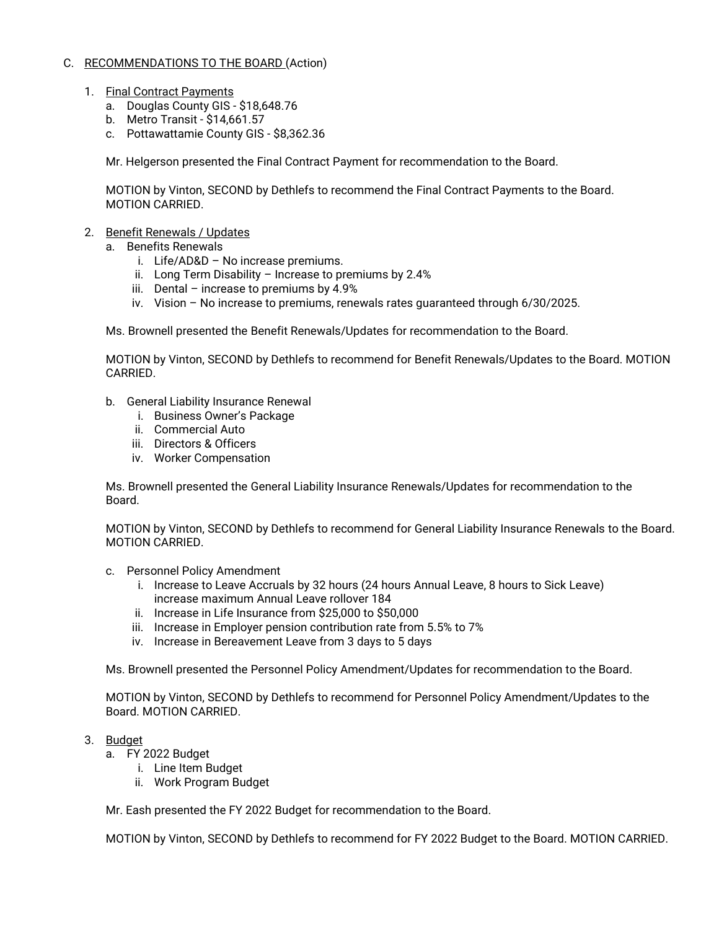# C. RECOMMENDATIONS TO THE BOARD (Action)

- 1. Final Contract Payments
	- a. Douglas County GIS \$18,648.76
	- b. Metro Transit \$14,661.57
	- c. Pottawattamie County GIS \$8,362.36

Mr. Helgerson presented the Final Contract Payment for recommendation to the Board.

MOTION by Vinton, SECOND by Dethlefs to recommend the Final Contract Payments to the Board. MOTION CARRIED.

# 2. Benefit Renewals / Updates

- a. Benefits Renewals
	- i. Life/AD&D No increase premiums.
	- ii. Long Term Disability Increase to premiums by 2.4%
	- iii. Dental increase to premiums by  $4.9\%$
	- iv. Vision No increase to premiums, renewals rates guaranteed through 6/30/2025.

Ms. Brownell presented the Benefit Renewals/Updates for recommendation to the Board.

MOTION by Vinton, SECOND by Dethlefs to recommend for Benefit Renewals/Updates to the Board. MOTION CARRIED.

- b. General Liability Insurance Renewal
	- i. Business Owner's Package
	- ii. Commercial Auto
	- iii. Directors & Officers
	- iv. Worker Compensation

Ms. Brownell presented the General Liability Insurance Renewals/Updates for recommendation to the Board.

MOTION by Vinton, SECOND by Dethlefs to recommend for General Liability Insurance Renewals to the Board. MOTION CARRIED.

- c. Personnel Policy Amendment
	- i. Increase to Leave Accruals by 32 hours (24 hours Annual Leave, 8 hours to Sick Leave) increase maximum Annual Leave rollover 184
	- ii. Increase in Life Insurance from \$25,000 to \$50,000
	- iii. Increase in Employer pension contribution rate from 5.5% to 7%
	- iv. Increase in Bereavement Leave from 3 days to 5 days

Ms. Brownell presented the Personnel Policy Amendment/Updates for recommendation to the Board.

MOTION by Vinton, SECOND by Dethlefs to recommend for Personnel Policy Amendment/Updates to the Board. MOTION CARRIED.

# 3. Budget

- a. FY 2022 Budget
	- i. Line Item Budget
	- ii. Work Program Budget

Mr. Eash presented the FY 2022 Budget for recommendation to the Board.

MOTION by Vinton, SECOND by Dethlefs to recommend for FY 2022 Budget to the Board. MOTION CARRIED.